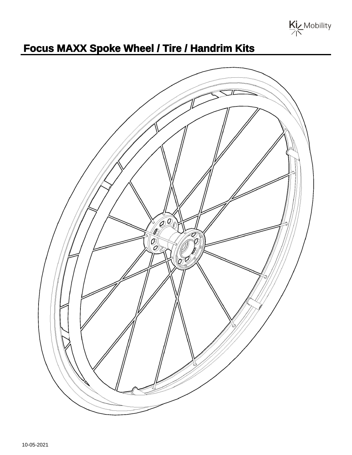

## **Focus MAXX Spoke Wheel / Tire / Handrim Kits**

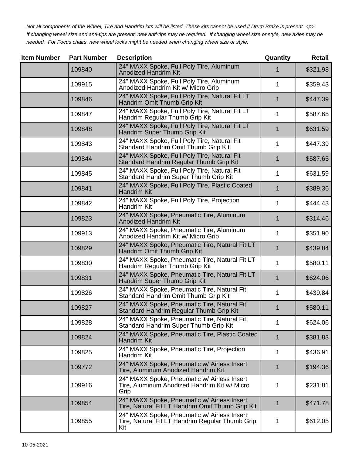Not all components of the Wheel, Tire and Handrim kits will be listed. These kits cannot be used if Drum Brake is present. <p> If changing wheel size and anti-tips are present, new anti-tips may be required. If changing wheel size or style, new axles may be needed. For Focus chairs, new wheel locks might be needed when changing wheel size or style.

| <b>Item Number</b> | <b>Part Number</b> | <b>Description</b>                                                                                    | Quantity    | <b>Retail</b> |
|--------------------|--------------------|-------------------------------------------------------------------------------------------------------|-------------|---------------|
|                    | 109840             | 24" MAXX Spoke, Full Poly Tire, Aluminum<br><b>Anodized Handrim Kit</b>                               | 1           | \$321.98      |
|                    | 109915             | 24" MAXX Spoke, Full Poly Tire, Aluminum<br>Anodized Handrim Kit w/ Micro Grip                        | 1           | \$359.43      |
|                    | 109846             | 24" MAXX Spoke, Full Poly Tire, Natural Fit LT<br>Handrim Omit Thumb Grip Kit                         | 1           | \$447.39      |
|                    | 109847             | 24" MAXX Spoke, Full Poly Tire, Natural Fit LT<br>Handrim Regular Thumb Grip Kit                      | 1           | \$587.65      |
|                    | 109848             | 24" MAXX Spoke, Full Poly Tire, Natural Fit LT<br>Handrim Super Thumb Grip Kit                        | 1           | \$631.59      |
|                    | 109843             | 24" MAXX Spoke, Full Poly Tire, Natural Fit<br>Standard Handrim Omit Thumb Grip Kit                   | 1           | \$447.39      |
|                    | 109844             | 24" MAXX Spoke, Full Poly Tire, Natural Fit<br>Standard Handrim Regular Thumb Grip Kit                | 1           | \$587.65      |
|                    | 109845             | 24" MAXX Spoke, Full Poly Tire, Natural Fit<br>Standard Handrim Super Thumb Grip Kit                  | 1           | \$631.59      |
|                    | 109841             | 24" MAXX Spoke, Full Poly Tire, Plastic Coated<br><b>Handrim Kit</b>                                  | 1           | \$389.36      |
|                    | 109842             | 24" MAXX Spoke, Full Poly Tire, Projection<br><b>Handrim Kit</b>                                      | 1           | \$444.43      |
|                    | 109823             | 24" MAXX Spoke, Pneumatic Tire, Aluminum<br><b>Anodized Handrim Kit</b>                               | 1           | \$314.46      |
|                    | 109913             | 24" MAXX Spoke, Pneumatic Tire, Aluminum<br>Anodized Handrim Kit w/ Micro Grip                        | 1           | \$351.90      |
|                    | 109829             | 24" MAXX Spoke, Pneumatic Tire, Natural Fit LT<br>Handrim Omit Thumb Grip Kit                         | $\mathbf 1$ | \$439.84      |
|                    | 109830             | 24" MAXX Spoke, Pneumatic Tire, Natural Fit LT<br>Handrim Regular Thumb Grip Kit                      | 1           | \$580.11      |
|                    | 109831             | 24" MAXX Spoke, Pneumatic Tire, Natural Fit LT<br>Handrim Super Thumb Grip Kit                        | 1           | \$624.06      |
|                    | 109826             | 24" MAXX Spoke, Pneumatic Tire, Natural Fit<br>Standard Handrim Omit Thumb Grip Kit                   | 1           | \$439.84      |
|                    | 109827             | 24" MAXX Spoke, Pneumatic Tire, Natural Fit<br>Standard Handrim Regular Thumb Grip Kit                | 1           | \$580.11      |
|                    | 109828             | 24" MAXX Spoke, Pneumatic Tire, Natural Fit<br>Standard Handrim Super Thumb Grip Kit                  | 1           | \$624.06      |
|                    | 109824             | 24" MAXX Spoke, Pneumatic Tire, Plastic Coated<br><b>Handrim Kit</b>                                  | $\mathbf 1$ | \$381.83      |
|                    | 109825             | 24" MAXX Spoke, Pneumatic Tire, Projection<br>Handrim Kit                                             | 1           | \$436.91      |
|                    | 109772             | 24" MAXX Spoke, Pneumatic w/ Airless Insert<br>Tire, Aluminum Anodized Handrim Kit                    | $\mathbf 1$ | \$194.36      |
|                    | 109916             | 24" MAXX Spoke, Pneumatic w/ Airless Insert<br>Tire, Aluminum Anodized Handrim Kit w/ Micro<br>Grip   | 1           | \$231.81      |
|                    | 109854             | 24" MAXX Spoke, Pneumatic w/ Airless Insert<br>Tire, Natural Fit LT Handrim Omit Thumb Grip Kit       | 1           | \$471.78      |
|                    | 109855             | 24" MAXX Spoke, Pneumatic w/ Airless Insert<br>Tire, Natural Fit LT Handrim Regular Thumb Grip<br>Kit | 1           | \$612.05      |